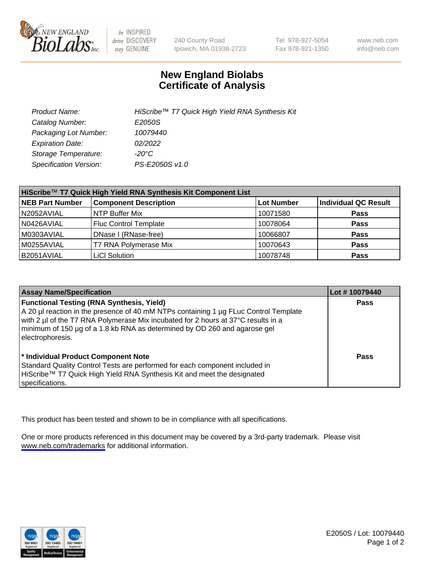

be INSPIRED drive DISCOVERY stay GENUINE

240 County Road Ipswich, MA 01938-2723 Tel 978-927-5054 Fax 978-921-1350

www.neb.com info@neb.com

## **New England Biolabs Certificate of Analysis**

| Product Name:           | HiScribe™ T7 Quick High Yield RNA Synthesis Kit |
|-------------------------|-------------------------------------------------|
| Catalog Number:         | E2050S                                          |
| Packaging Lot Number:   | 10079440                                        |
| <b>Expiration Date:</b> | 02/2022                                         |
| Storage Temperature:    | -20°C                                           |
| Specification Version:  | PS-E2050S v1.0                                  |

| HiScribe™ T7 Quick High Yield RNA Synthesis Kit Component List |                              |                   |                             |  |
|----------------------------------------------------------------|------------------------------|-------------------|-----------------------------|--|
| <b>NEB Part Number</b>                                         | <b>Component Description</b> | <b>Lot Number</b> | <b>Individual QC Result</b> |  |
| N2052AVIAL                                                     | NTP Buffer Mix               | 10071580          | <b>Pass</b>                 |  |
| N0426AVIAL                                                     | <b>Fluc Control Template</b> | 10078064          | <b>Pass</b>                 |  |
| M0303AVIAL                                                     | DNase I (RNase-free)         | 10066807          | <b>Pass</b>                 |  |
| M0255AVIAL                                                     | T7 RNA Polymerase Mix        | 10070643          | <b>Pass</b>                 |  |
| B2051AVIAL                                                     | <b>LiCI Solution</b>         | 10078748          | <b>Pass</b>                 |  |

| <b>Assay Name/Specification</b>                                                                                                                                                                                                                                                                                                | Lot #10079440 |
|--------------------------------------------------------------------------------------------------------------------------------------------------------------------------------------------------------------------------------------------------------------------------------------------------------------------------------|---------------|
| <b>Functional Testing (RNA Synthesis, Yield)</b><br>A 20 µl reaction in the presence of 40 mM NTPs containing 1 µg FLuc Control Template<br>with 2 µl of the T7 RNA Polymerase Mix incubated for 2 hours at 37°C results in a<br>minimum of 150 µg of a 1.8 kb RNA as determined by OD 260 and agarose gel<br>electrophoresis. | <b>Pass</b>   |
| * Individual Product Component Note<br>Standard Quality Control Tests are performed for each component included in<br>HiScribe™ T7 Quick High Yield RNA Synthesis Kit and meet the designated<br>specifications.                                                                                                               | Pass          |

This product has been tested and shown to be in compliance with all specifications.

One or more products referenced in this document may be covered by a 3rd-party trademark. Please visit <www.neb.com/trademarks>for additional information.